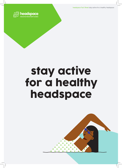headspace Fact Sheet stay active for a healthy headspace



## stay active for a healthy headspace